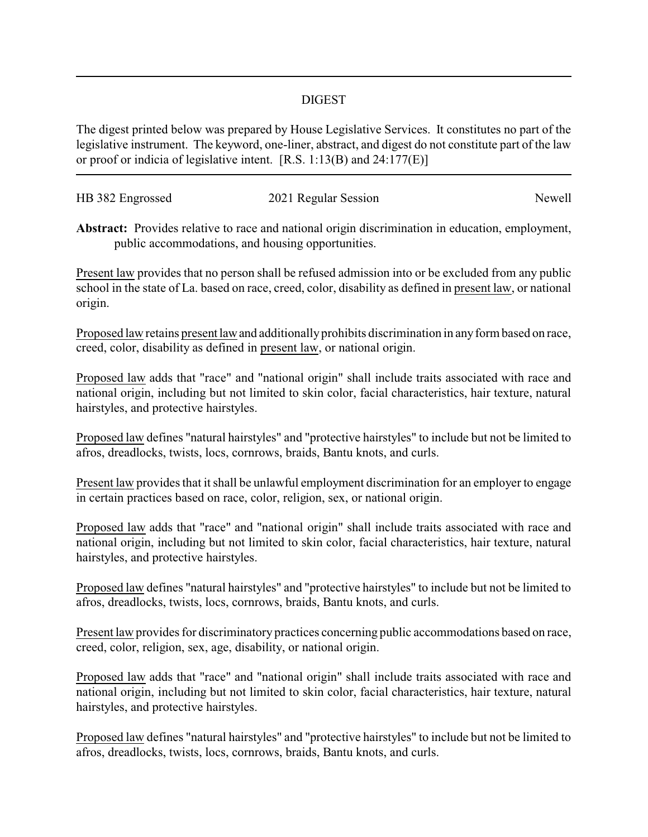## DIGEST

The digest printed below was prepared by House Legislative Services. It constitutes no part of the legislative instrument. The keyword, one-liner, abstract, and digest do not constitute part of the law or proof or indicia of legislative intent. [R.S. 1:13(B) and 24:177(E)]

| HB 382 Engrossed | 2021 Regular Session | Newell |
|------------------|----------------------|--------|
|                  |                      |        |

**Abstract:** Provides relative to race and national origin discrimination in education, employment, public accommodations, and housing opportunities.

Present law provides that no person shall be refused admission into or be excluded from any public school in the state of La. based on race, creed, color, disability as defined in present law, or national origin.

Proposed law retains present law and additionally prohibits discrimination in any form based on race, creed, color, disability as defined in present law, or national origin.

Proposed law adds that "race" and "national origin" shall include traits associated with race and national origin, including but not limited to skin color, facial characteristics, hair texture, natural hairstyles, and protective hairstyles.

Proposed law defines "natural hairstyles" and "protective hairstyles" to include but not be limited to afros, dreadlocks, twists, locs, cornrows, braids, Bantu knots, and curls.

Present law provides that it shall be unlawful employment discrimination for an employer to engage in certain practices based on race, color, religion, sex, or national origin.

Proposed law adds that "race" and "national origin" shall include traits associated with race and national origin, including but not limited to skin color, facial characteristics, hair texture, natural hairstyles, and protective hairstyles.

Proposed law defines "natural hairstyles" and "protective hairstyles" to include but not be limited to afros, dreadlocks, twists, locs, cornrows, braids, Bantu knots, and curls.

Present law provides for discriminatory practices concerning public accommodations based on race, creed, color, religion, sex, age, disability, or national origin.

Proposed law adds that "race" and "national origin" shall include traits associated with race and national origin, including but not limited to skin color, facial characteristics, hair texture, natural hairstyles, and protective hairstyles.

Proposed law defines "natural hairstyles" and "protective hairstyles" to include but not be limited to afros, dreadlocks, twists, locs, cornrows, braids, Bantu knots, and curls.